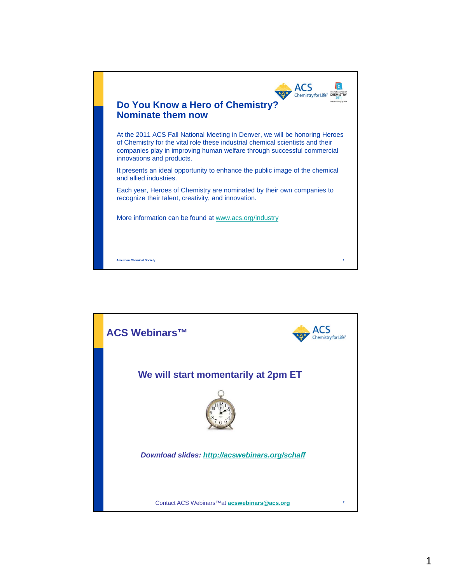

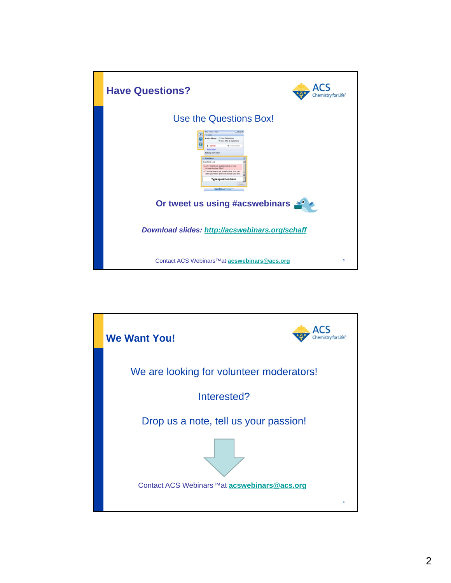

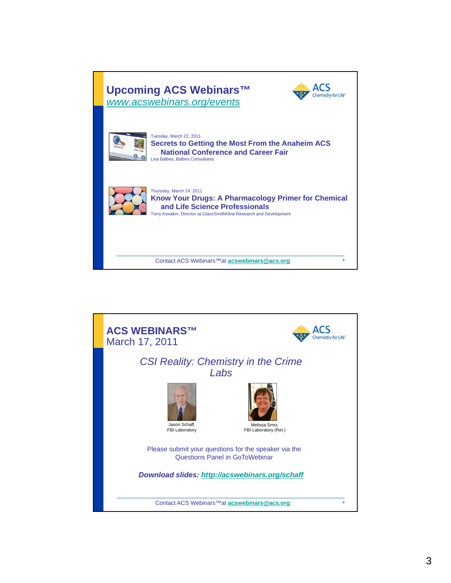

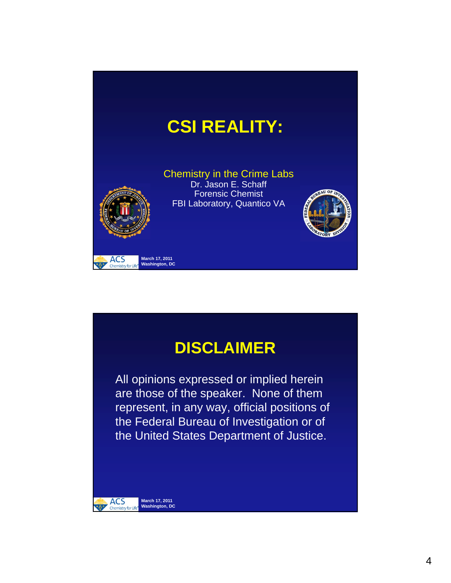

# **DISCLAIMER**

All opinions expressed or implied herein are those of the speaker. None of them represent, in any way, official positions of the Federal Bureau of Investigation or of the United States Department of Justice.

**March 17, 2011 Washington, DC**

 $ACS$ <br>Chemistry istry for Lit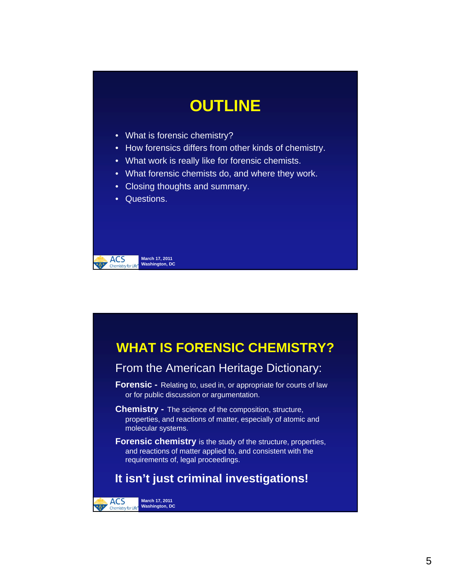# **OUTLINE**

- What is forensic chemistry?
- How forensics differs from other kinds of chemistry.
- What work is really like for forensic chemists.
- What forensic chemists do, and where they work.
- Closing thoughts and summary.
- Questions.



# **WHAT IS FORENSIC CHEMISTRY?**

### From the American Heritage Dictionary:

- **Forensic -** Relating to, used in, or appropriate for courts of law or for public discussion or argumentation.
- **Chemistry -** The science of the composition, structure, properties, and reactions of matter, especially of atomic and molecular systems.
- **Forensic chemistry** is the study of the structure, properties, and reactions of matter applied to, and consistent with the requirements of, legal proceedings.

### **It isn't just criminal investigations!**

**March 17, 2011 Washington, DC**

**ACS** istry for Life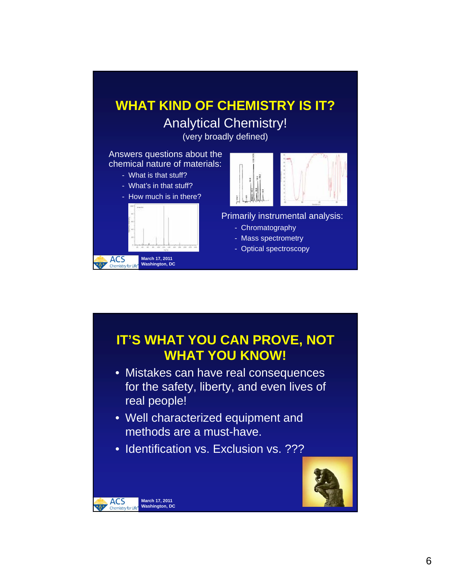

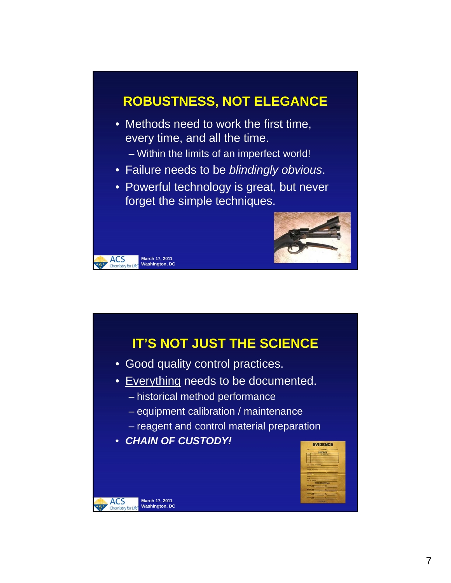## **ROBUSTNESS, NOT ELEGANCE**

- Methods need to work the first time, every time, and all the time.
	- Within the limits of an imperfect world!
- Failure needs to be *blindingly obvious*.
- Powerful technology is great, but never forget the simple techniques.



### **IT'S NOT JUST THE SCIENCE**

- Good quality control practices.
- Everything needs to be documented.
	- historical method performance
	- equipment calibration / maintenance
	- reagent and control material preparation
- *CHAIN OF CUSTODY!*

**March 17, 2011 Washington, DC**

**ACS** 

**March 17, 2011 Washington, DC**

**ACS** Chemistry for Lif

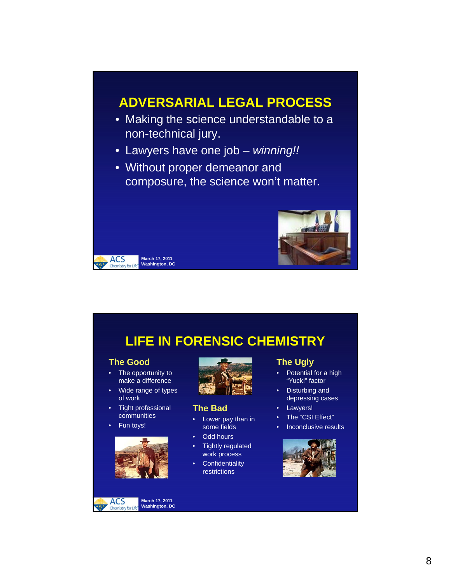### **ADVERSARIAL LEGAL PROCESS**

- Making the science understandable to a non-technical jury.
- Lawyers have one job *winning!!*
- Without proper demeanor and composure, the science won't matter.



## **LIFE IN FORENSIC CHEMISTRY**

#### **The Good**

**ACS** Chemistry for Life

> The opportunity to make a difference

**March 17, 2011 Washington, DC**

- Wide range of types of work
- Tight professional communities
- Fun toys!



ACS<sub>Chemistry</sub> **March 17, 2011 Washington, DC**istry for Lit



#### **The Bad**

- Lower pay than in some fields
- Odd hours
- Tightly regulated work process
- Confidentiality restrictions

#### **The Ugly**

- Potential for a high "Yuck!" factor
- Disturbing and depressing cases
- Lawyers!
- The "CSI Effect"
- Inconclusive results

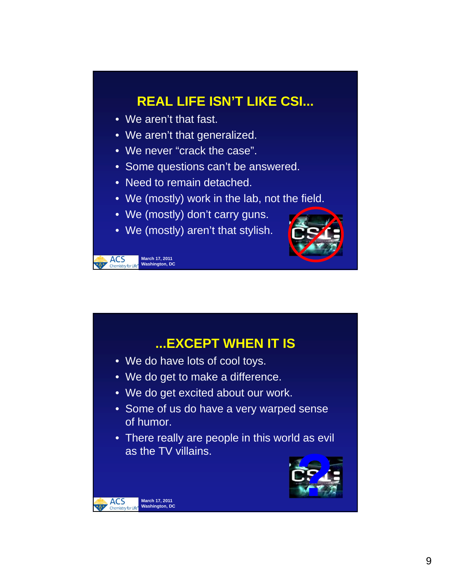# **REAL LIFE ISN'T LIKE CSI...**

• We aren't that fast.

**March 17, 2011 Washington, DC**

**ACS** Chemistry for Life

**March 17, 2011 Washington, DC**

**ACS** 

- We aren't that generalized.
- We never "crack the case".
- Some questions can't be answered.
- Need to remain detached.
- We (mostly) work in the lab, not the field.
- We (mostly) don't carry guns.
- We (mostly) aren't that stylish.



- **...EXCEPT WHEN IT IS**
- We do have lots of cool toys.
- We do get to make a difference.
- We do get excited about our work.
- Some of us do have a very warped sense of humor.
- There really are people in this world as evil as the TV villains.

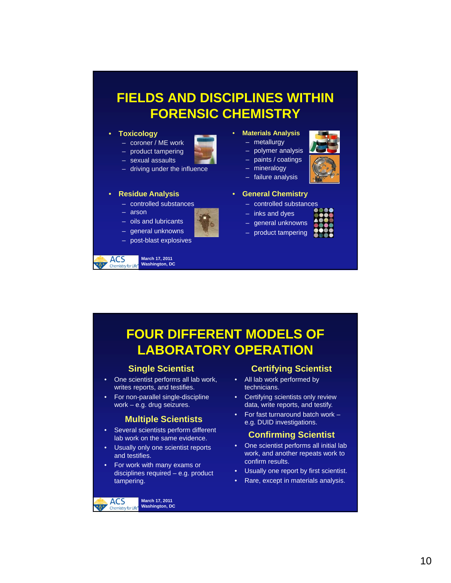### **FIELDS AND DISCIPLINES WITHIN FORENSIC CHEMISTRY**

#### • **Toxicology**

- coroner / ME work
- product tampering – sexual assaults
- driving under the influence

#### • **Residue Analysis**

- controlled substances
- arson
- oils and lubricants
- general unknowns



**ACS March 17, 2011 Washington, DC** Chemistry for Lif

#### • **Materials Analysis**

- metallurgy
- polymer analysis
- paints / coatings mineralogy
- 
- failure analysis
- **General Chemistry**
	- controlled substances
		- inks and dyes
		- general unknowns
	- product tampering

# **FOUR DIFFERENT MODELS OF LABORATORY OPERATION**

### **Single Scientist**

- One scientist performs all lab work, writes reports, and testifies.
- For non-parallel single-discipline work – e.g. drug seizures.

- Several scientists perform different lab work on the same evidence.
- Usually only one scientist reports and testifies.
- For work with many exams or disciplines required – e.g. product tampering.

**March 17, 2011 Washington, DC**

**ACS** istry for Lit

### **Certifying Scientist**

- All lab work performed by technicians.
- Certifying scientists only review data, write reports, and testify.
- For fast turnaround batch work **Multiple Scientists** e.g. DUID investigations.

#### **Confirming Scientist**

- One scientist performs all initial lab work, and another repeats work to confirm results.
- Usually one report by first scientist.
- Rare, except in materials analysis.

10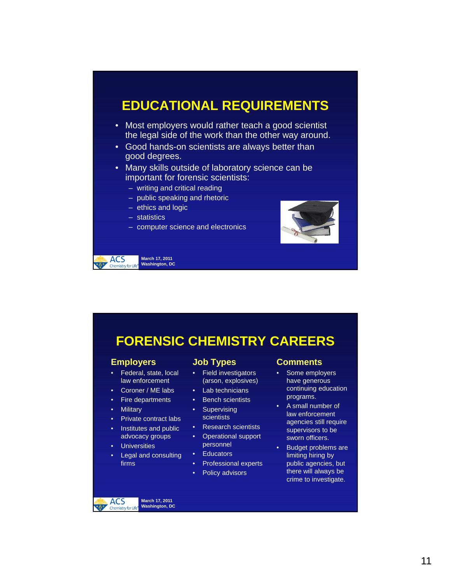### **EDUCATIONAL REQUIREMENTS**

- Most employers would rather teach a good scientist the legal side of the work than the other way around.
- Good hands-on scientists are always better than good degrees.
- Many skills outside of laboratory science can be important for forensic scientists:
	- writing and critical reading
	- public speaking and rhetoric
	- ethics and logic
	- statistics
	- computer science and electronics



**March 17, 2011 Washington, DC** Chemistry for Lif

**ACS** 

### **FORENSIC CHEMISTRY CAREERS**

#### **Employers**

- Federal, state, local law enforcement
- Coroner / ME labs
- Fire departments
- Military
- Private contract labs
- Institutes and public advocacy groups
- **Universities**
- Legal and consulting firms

#### **Job Types**

- Field investigators (arson, explosives)
- Lab technicians
- Bench scientists
- Supervising scientists
- Research scientists
- Operational support personnel
- Educators
- Professional experts
- Policy advisors

#### **Comments**

- Some employers have generous continuing education programs.
- A small number of law enforcement agencies still require supervisors to be sworn officers.
- Budget problems are limiting hiring by public agencies, but there will always be crime to investigate.

**ACS** stry for Lit

**March 17, 2011 Washington, DC**

11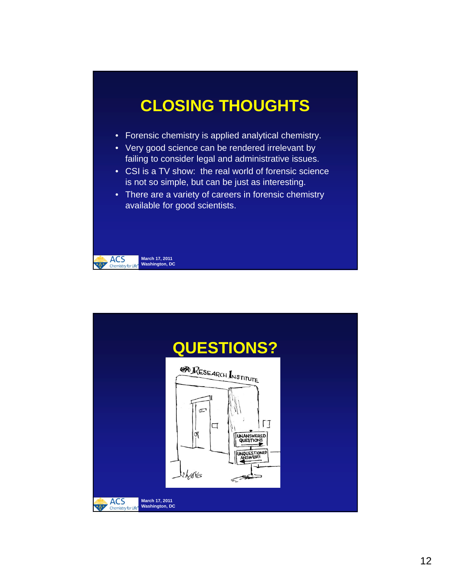# **CLOSING THOUGHTS**

- Forensic chemistry is applied analytical chemistry.
- Very good science can be rendered irrelevant by failing to consider legal and administrative issues.
- CSI is a TV show: the real world of forensic science is not so simple, but can be just as interesting.
- There are a variety of careers in forensic chemistry available for good scientists.



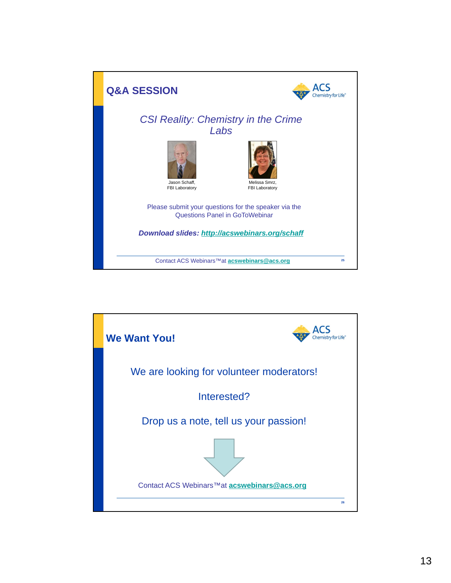

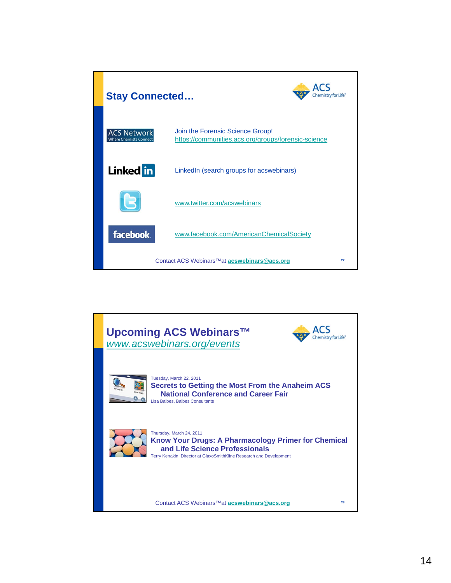